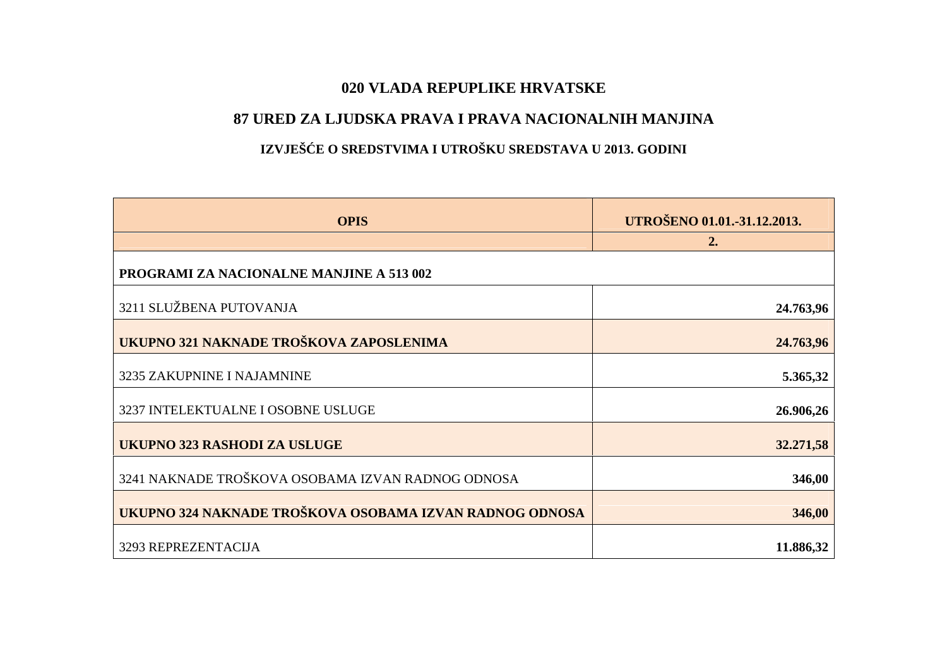## **020 VLADA REPUPLIKE HRVATSKE**

## **87 URED ZA LJUDSKA PRAVA I PRAVA NACIONALNIH MANJINA**

## IZVJEŠ E O SREDSTVIMA I UTROŠKU SREDSTAVA U 2013. GODINI

| <b>OPIS</b>                                             | UTROŠENO 01.01.-31.12.2013. |
|---------------------------------------------------------|-----------------------------|
|                                                         | 2.                          |
| <b>PROGRAMI ZA NACIONALNE MANJINE A 513 002</b>         |                             |
| 3211 SLUŽBENA PUTOVANJA                                 | 24.763,96                   |
| UKUPNO 321 NAKNADE TROŠKOVA ZAPOSLENIMA                 | 24.763,96                   |
| 3235 ZAKUPNINE I NAJAMNINE                              | 5.365,32                    |
| 3237 INTELEKTUALNE I OSOBNE USLUGE                      | 26.906,26                   |
| <b>UKUPNO 323 RASHODI ZA USLUGE</b>                     | 32.271,58                   |
| 3241 NAKNADE TROŠKOVA OSOBAMA IZVAN RADNOG ODNOSA       | 346,00                      |
| UKUPNO 324 NAKNADE TROŠKOVA OSOBAMA IZVAN RADNOG ODNOSA | 346,00                      |
| 3293 REPREZENTACIJA                                     | 11.886,32                   |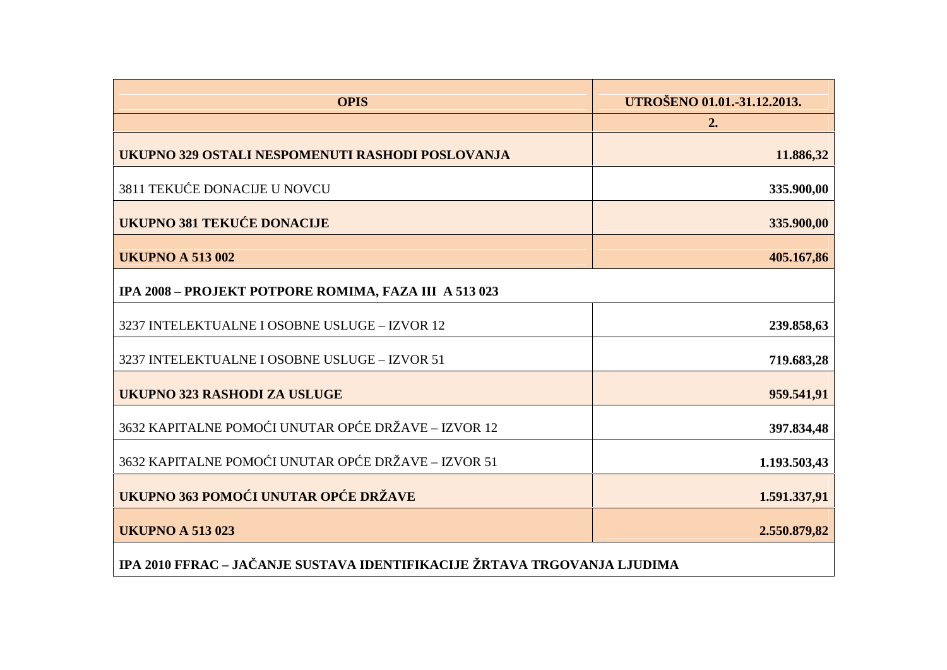| <b>OPIS</b>                                                              | UTROŠENO 01.01.-31.12.2013. |
|--------------------------------------------------------------------------|-----------------------------|
|                                                                          | 2.                          |
| UKUPNO 329 OSTALI NESPOMENUTI RASHODI POSLOVANJA                         | 11.886,32                   |
| 3811 TEKU E DONACIJE U NOVCU                                             | 335.900,00                  |
| <b>UKUPNO 381 TEKU E DONACIJE</b>                                        | 335.900,00                  |
| <b>UKUPNO A 513 002</b>                                                  | 405.167,86                  |
| IPA 2008 - PROJEKT POTPORE ROMIMA, FAZA III A 513 023                    |                             |
| 3237 INTELEKTUALNE I OSOBNE USLUGE - IZVOR 12                            | 239.858,63                  |
| 3237 INTELEKTUALNE I OSOBNE USLUGE - IZVOR 51                            | 719.683,28                  |
| <b>UKUPNO 323 RASHODI ZA USLUGE</b>                                      | 959.541,91                  |
| 3632 KAPITALNE POMO I UNUTAR OP E DRŽAVE - IZVOR 12                      | 397.834,48                  |
| 3632 KAPITALNE POMO I UNUTAR OP E DRŽAVE - IZVOR 51                      | 1.193.503,43                |
| UKUPNO 363 POMO I UNUTAR OP E DRŽAVE                                     | 1.591.337,91                |
| <b>UKUPNO A 513023</b>                                                   | 2.550.879,82                |
| IPA 2010 FFRAC - JA ANJE SUSTAVA IDENTIFIKACIJE ŽRTAVA TRGOVANJA LJUDIMA |                             |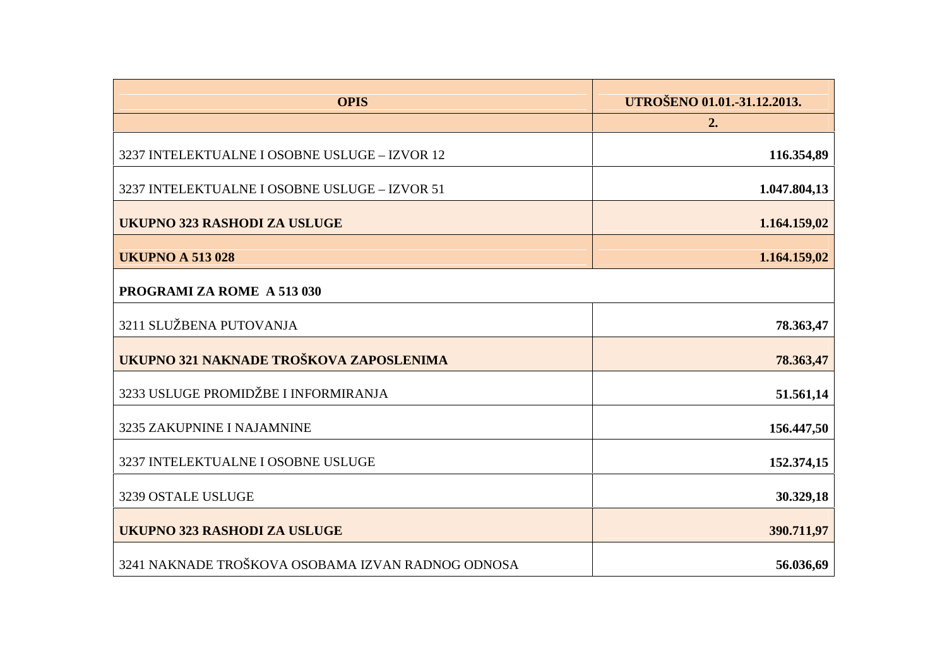| <b>OPIS</b>                                       | UTROŠENO 01.01.-31.12.2013.<br>2. |
|---------------------------------------------------|-----------------------------------|
| 3237 INTELEKTUALNE I OSOBNE USLUGE - IZVOR 12     | 116.354,89                        |
| 3237 INTELEKTUALNE I OSOBNE USLUGE - IZVOR 51     | 1.047.804,13                      |
| <b>UKUPNO 323 RASHODI ZA USLUGE</b>               | 1.164.159,02                      |
| <b>UKUPNO A 513 028</b>                           | 1.164.159,02                      |
| <b>PROGRAMI ZA ROME A 513 030</b>                 |                                   |
| 3211 SLUŽBENA PUTOVANJA                           | 78.363,47                         |
| UKUPNO 321 NAKNADE TROŠKOVA ZAPOSLENIMA           | 78.363,47                         |
| 3233 USLUGE PROMIDŽBE I INFORMIRANJA              | 51.561,14                         |
| 3235 ZAKUPNINE I NAJAMNINE                        | 156.447,50                        |
| 3237 INTELEKTUALNE I OSOBNE USLUGE                | 152.374,15                        |
| 3239 OSTALE USLUGE                                | 30.329,18                         |
| <b>UKUPNO 323 RASHODI ZA USLUGE</b>               | 390.711,97                        |
| 3241 NAKNADE TROŠKOVA OSOBAMA IZVAN RADNOG ODNOSA | 56.036,69                         |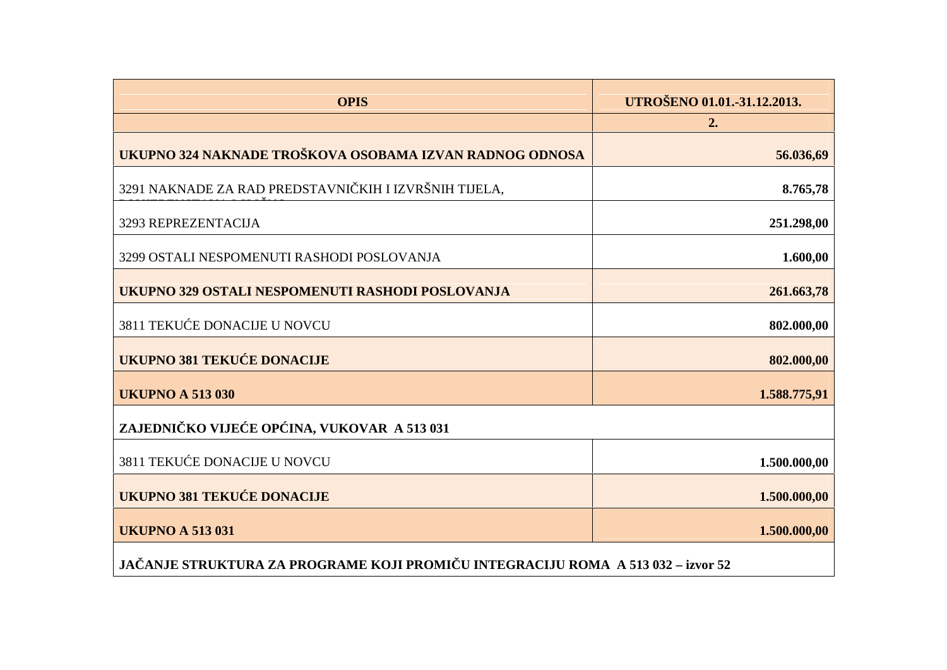| UTROŠENO 01.01.-31.12.2013.<br>2.                                    |
|----------------------------------------------------------------------|
| UKUPNO 324 NAKNADE TROŠKOVA OSOBAMA IZVAN RADNOG ODNOSA<br>56.036,69 |
| 8.765,78                                                             |
| 251.298,00                                                           |
| 1.600,00                                                             |
| 261.663,78                                                           |
| 802.000,00                                                           |
| 802.000,00                                                           |
| 1.588.775,91                                                         |
|                                                                      |
| 1.500.000,00                                                         |
| 1.500.000,00                                                         |
| 1.500.000,00                                                         |
|                                                                      |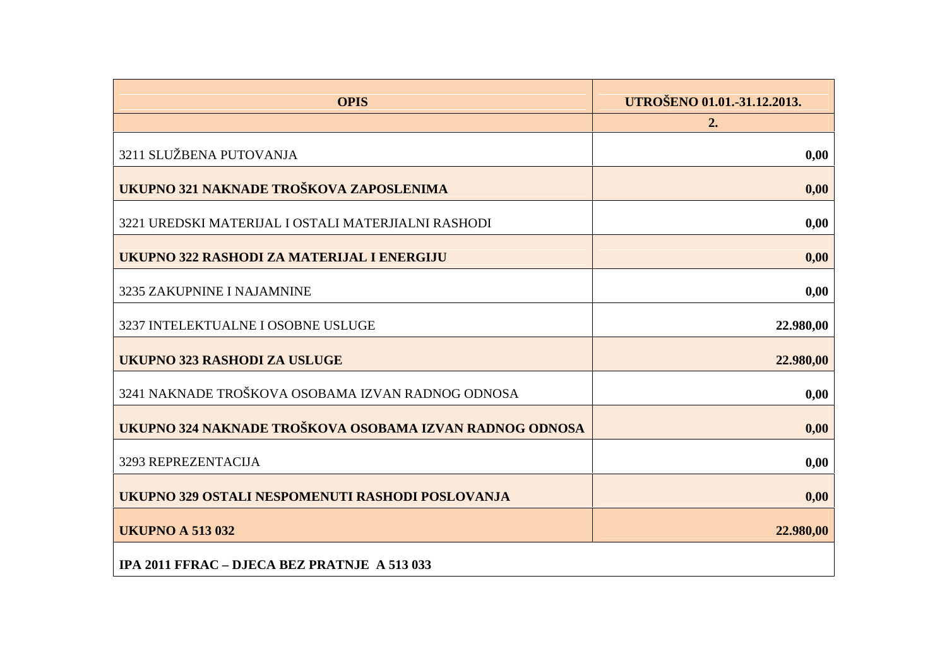| <b>OPIS</b>                                             | UTROŠENO 01.01.-31.12.2013. |
|---------------------------------------------------------|-----------------------------|
|                                                         | 2.                          |
| 3211 SLUŽBENA PUTOVANJA                                 | 0,00                        |
| UKUPNO 321 NAKNADE TROŠKOVA ZAPOSLENIMA                 | 0,00                        |
| 3221 UREDSKI MATERIJAL I OSTALI MATERJIALNI RASHODI     | 0,00                        |
| UKUPNO 322 RASHODI ZA MATERIJAL I ENERGIJU              | 0,00                        |
| 3235 ZAKUPNINE I NAJAMNINE                              | 0,00                        |
| 3237 INTELEKTUALNE I OSOBNE USLUGE                      | 22.980,00                   |
| <b>UKUPNO 323 RASHODI ZA USLUGE</b>                     | 22.980,00                   |
| 3241 NAKNADE TROŠKOVA OSOBAMA IZVAN RADNOG ODNOSA       | 0,00                        |
| UKUPNO 324 NAKNADE TROŠKOVA OSOBAMA IZVAN RADNOG ODNOSA | 0,00                        |
| 3293 REPREZENTACIJA                                     | 0,00                        |
| UKUPNO 329 OSTALI NESPOMENUTI RASHODI POSLOVANJA        | 0,00                        |
| <b>UKUPNO A 513 032</b>                                 | 22.980,00                   |
| IPA 2011 FFRAC - DJECA BEZ PRATNJE A 513 033            |                             |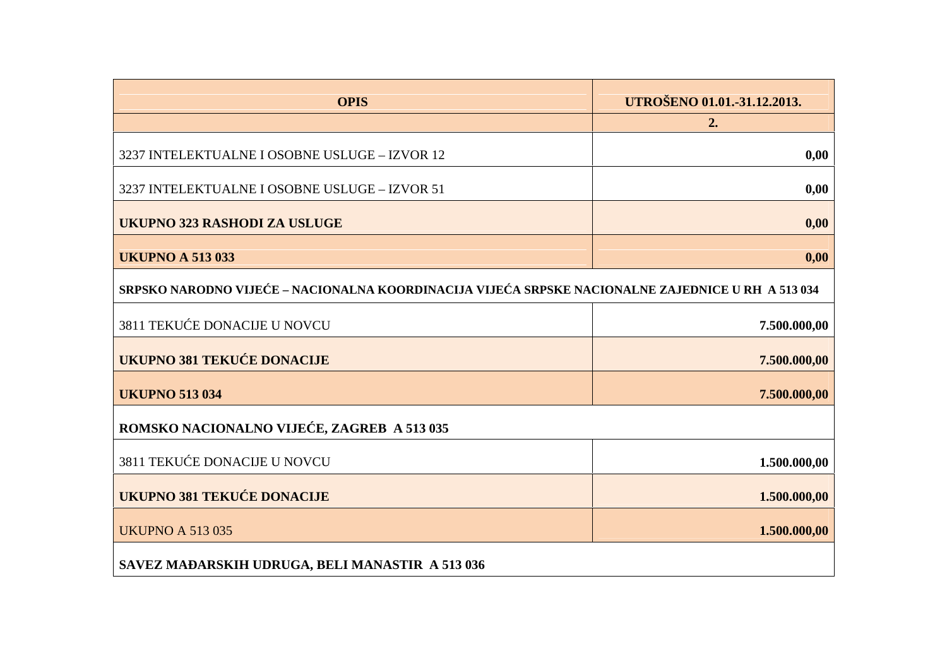| <b>OPIS</b>                                                                                     | UTROŠENO 01.01.-31.12.2013. |
|-------------------------------------------------------------------------------------------------|-----------------------------|
|                                                                                                 | 2.                          |
| 3237 INTELEKTUALNE I OSOBNE USLUGE - IZVOR 12                                                   | 0,00                        |
| 3237 INTELEKTUALNE I OSOBNE USLUGE - IZVOR 51                                                   | 0,00                        |
| <b>UKUPNO 323 RASHODI ZA USLUGE</b>                                                             | 0,00                        |
| <b>UKUPNO A 513 033</b>                                                                         | 0,00                        |
| SRPSKO NARODNO VIJE E-NACIONALNA KOORDINACIJA VIJE A SRPSKE NACIONALNE ZAJEDNICE U RH A 513 034 |                             |
| 3811 TEKU E DONACIJE U NOVCU                                                                    | 7.500.000,00                |
| <b>UKUPNO 381 TEKU E DONACIJE</b>                                                               | 7.500.000,00                |
| <b>UKUPNO 513 034</b>                                                                           | 7.500.000,00                |
| ROMSKO NACIONALNO VIJE E, ZAGREB A 513 035                                                      |                             |
| 3811 TEKU E DONACIJE U NOVCU                                                                    | 1.500.000,00                |
| <b>UKUPNO 381 TEKU E DONACIJE</b>                                                               | 1.500.000,00                |
| <b>UKUPNO A 513 035</b>                                                                         | 1.500.000,00                |
| SAVEZ MA ARSKIH UDRUGA, BELI MANASTIR A 513 036                                                 |                             |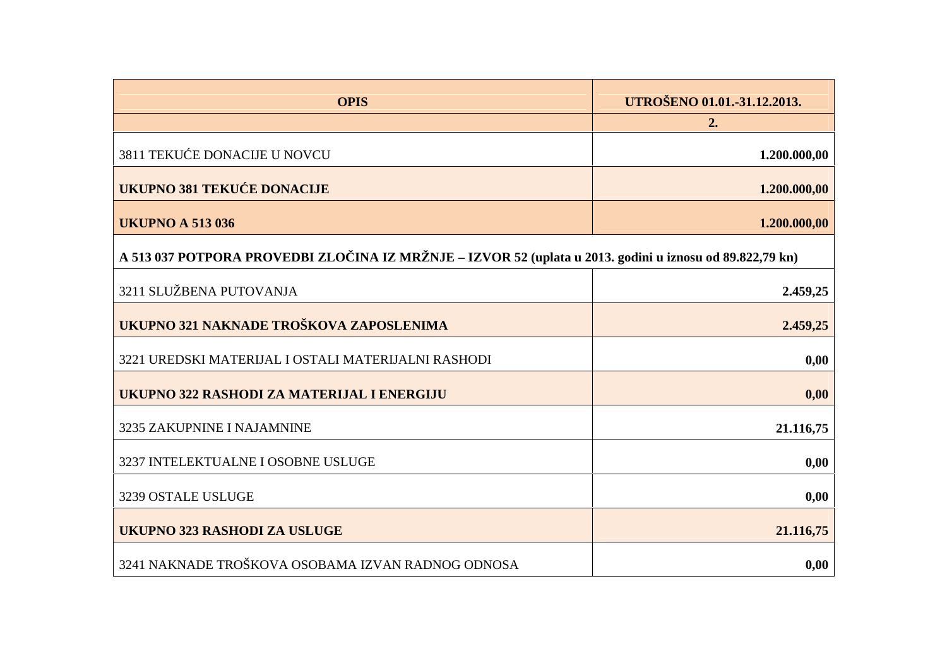| <b>OPIS</b>                                                                                              | UTROŠENO 01.01.-31.12.2013. |
|----------------------------------------------------------------------------------------------------------|-----------------------------|
|                                                                                                          | 2.                          |
| 3811 TEKU E DONACIJE U NOVCU                                                                             | 1.200.000,00                |
| <b>UKUPNO 381 TEKU E DONACIJE</b>                                                                        | 1.200.000,00                |
| <b>UKUPNO A 513 036</b>                                                                                  | 1.200.000,00                |
| A 513 037 POTPORA PROVEDBI ZLO INA IZ MRŽNJE – IZVOR 52 (uplata u 2013. godini u iznosu od 89.822,79 kn) |                             |
| 3211 SLUŽBENA PUTOVANJA                                                                                  | 2.459,25                    |
| UKUPNO 321 NAKNADE TROŠKOVA ZAPOSLENIMA                                                                  | 2.459,25                    |
| 3221 UREDSKI MATERIJAL I OSTALI MATERIJALNI RASHODI                                                      | 0,00                        |
| UKUPNO 322 RASHODI ZA MATERIJAL I ENERGIJU                                                               | 0,00                        |
| 3235 ZAKUPNINE I NAJAMNINE                                                                               | 21.116,75                   |
| 3237 INTELEKTUALNE I OSOBNE USLUGE                                                                       | 0,00                        |
| 3239 OSTALE USLUGE                                                                                       | 0,00                        |
| <b>UKUPNO 323 RASHODI ZA USLUGE</b>                                                                      | 21.116,75                   |
| 3241 NAKNADE TROŠKOVA OSOBAMA IZVAN RADNOG ODNOSA                                                        | 0,00                        |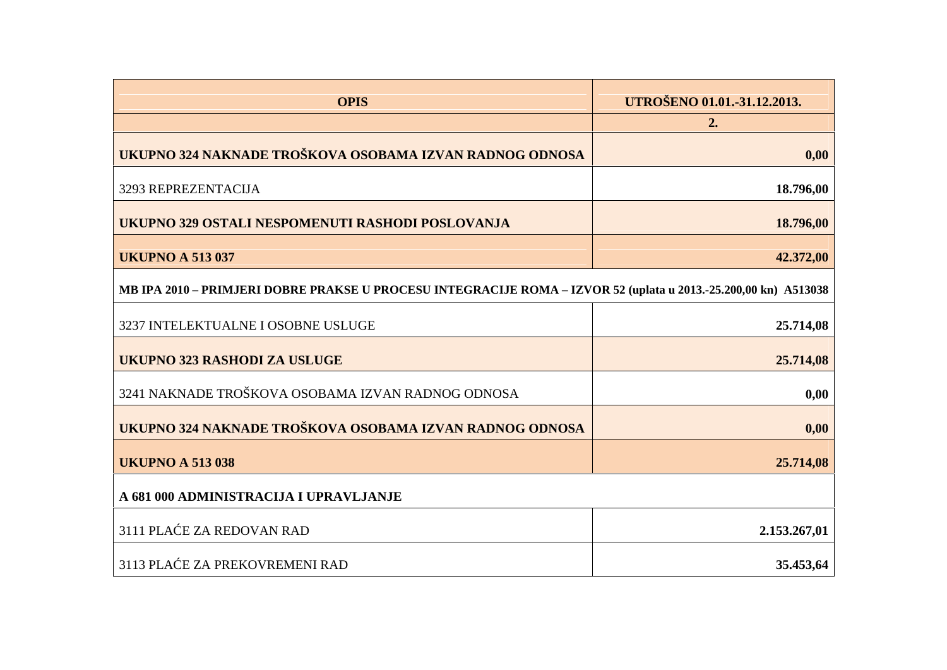| <b>OPIS</b>                                                                                                     | UTROŠENO 01.01.-31.12.2013. |
|-----------------------------------------------------------------------------------------------------------------|-----------------------------|
| UKUPNO 324 NAKNADE TROŠKOVA OSOBAMA IZVAN RADNOG ODNOSA                                                         | 2.<br>0,00                  |
| 3293 REPREZENTACIJA                                                                                             | 18.796,00                   |
| UKUPNO 329 OSTALI NESPOMENUTI RASHODI POSLOVANJA                                                                | 18.796,00                   |
| <b>UKUPNO A 513 037</b>                                                                                         | 42.372,00                   |
| MB IPA 2010 - PRIMJERI DOBRE PRAKSE U PROCESU INTEGRACIJE ROMA - IZVOR 52 (uplata u 2013.-25.200,00 kn) A513038 |                             |
| 3237 INTELEKTUALNE I OSOBNE USLUGE                                                                              | 25.714,08                   |
| UKUPNO 323 RASHODI ZA USLUGE                                                                                    | 25.714,08                   |
| 3241 NAKNADE TROŠKOVA OSOBAMA IZVAN RADNOG ODNOSA                                                               | 0,00                        |
| UKUPNO 324 NAKNADE TROŠKOVA OSOBAMA IZVAN RADNOG ODNOSA                                                         | 0,00                        |
| <b>UKUPNO A 513 038</b>                                                                                         | 25.714,08                   |
| A 681 000 ADMINISTRACIJA I UPRAVLJANJE                                                                          |                             |
| 3111 PLA E ZA REDOVAN RAD                                                                                       | 2.153.267,01                |
| 3113 PLA E ZA PREKOVREMENI RAD                                                                                  | 35.453,64                   |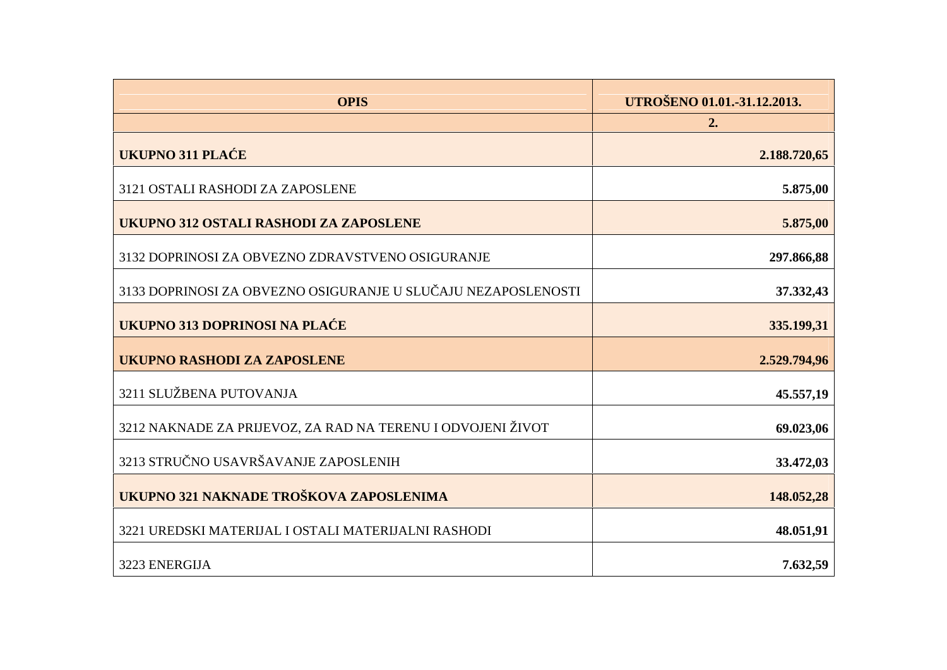| <b>OPIS</b>                                                   | UTROŠENO 01.01.-31.12.2013. |
|---------------------------------------------------------------|-----------------------------|
|                                                               | 2.                          |
| UKUPNO 311 PLA E                                              | 2.188.720,65                |
| 3121 OSTALI RASHODI ZA ZAPOSLENE                              | 5.875,00                    |
| UKUPNO 312 OSTALI RASHODI ZA ZAPOSLENE                        | 5.875,00                    |
| 3132 DOPRINOSI ZA OBVEZNO ZDRAVSTVENO OSIGURANJE              | 297.866,88                  |
| 3133 DOPRINOSI ZA OBVEZNO OSIGURANJE U SLU AJU NEZAPOSLENOSTI | 37.332,43                   |
| UKUPNO 313 DOPRINOSI NA PLA E                                 | 335.199,31                  |
| <b>UKUPNO RASHODI ZA ZAPOSLENE</b>                            | 2.529.794,96                |
| 3211 SLUŽBENA PUTOVANJA                                       | 45.557,19                   |
| 3212 NAKNADE ZA PRIJEVOZ, ZA RAD NA TERENU I ODVOJENI ŽIVOT   | 69.023,06                   |
| 3213 STRU NO USAVRŠAVANJE ZAPOSLENIH                          | 33.472,03                   |
| UKUPNO 321 NAKNADE TROŠKOVA ZAPOSLENIMA                       | 148.052,28                  |
| 3221 UREDSKI MATERIJAL I OSTALI MATERIJALNI RASHODI           | 48.051,91                   |
| 3223 ENERGIJA                                                 | 7.632,59                    |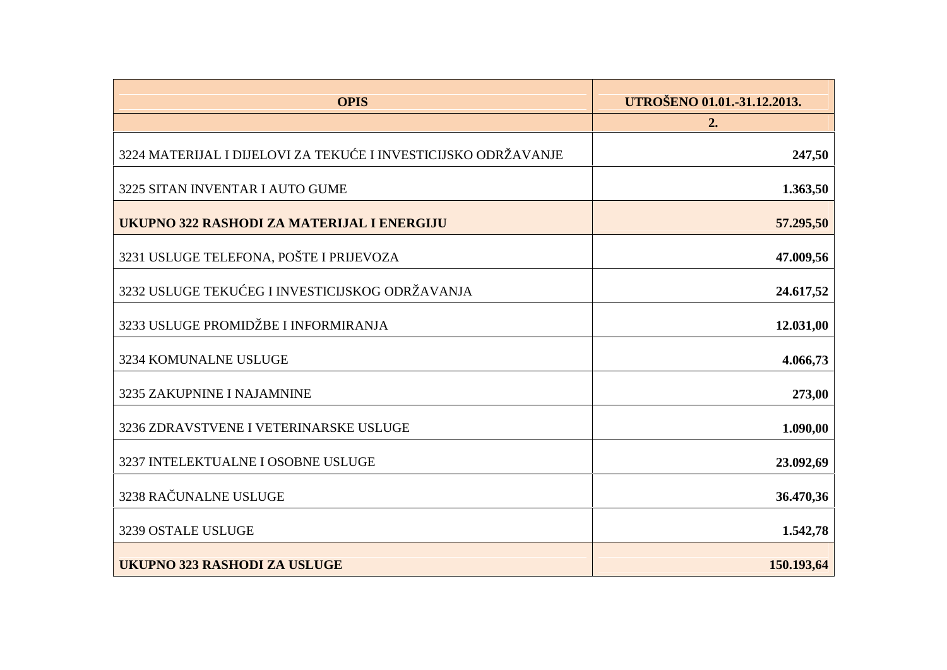| <b>OPIS</b>                                                    | UTROŠENO 01.01.-31.12.2013. |
|----------------------------------------------------------------|-----------------------------|
|                                                                | 2.                          |
| 3224 MATERIJAL I DIJELOVI ZA TEKU E I INVESTICIJSKO ODRŽAVANJE | 247,50                      |
| 3225 SITAN INVENTAR I AUTO GUME                                | 1.363,50                    |
| UKUPNO 322 RASHODI ZA MATERIJAL I ENERGIJU                     | 57.295,50                   |
| 3231 USLUGE TELEFONA, POŠTE I PRIJEVOZA                        | 47.009,56                   |
| 3232 USLUGE TEKU EG I INVESTICIJSKOG ODRŽAVANJA                | 24.617,52                   |
| 3233 USLUGE PROMIDŽBE I INFORMIRANJA                           | 12.031,00                   |
| 3234 KOMUNALNE USLUGE                                          | 4.066,73                    |
| 3235 ZAKUPNINE I NAJAMNINE                                     | 273,00                      |
| 3236 ZDRAVSTVENE I VETERINARSKE USLUGE                         | 1.090,00                    |
| 3237 INTELEKTUALNE I OSOBNE USLUGE                             | 23.092,69                   |
| 3238 RA UNALNE USLUGE                                          | 36.470,36                   |
| 3239 OSTALE USLUGE                                             | 1.542,78                    |
| <b>UKUPNO 323 RASHODI ZA USLUGE</b>                            | 150.193,64                  |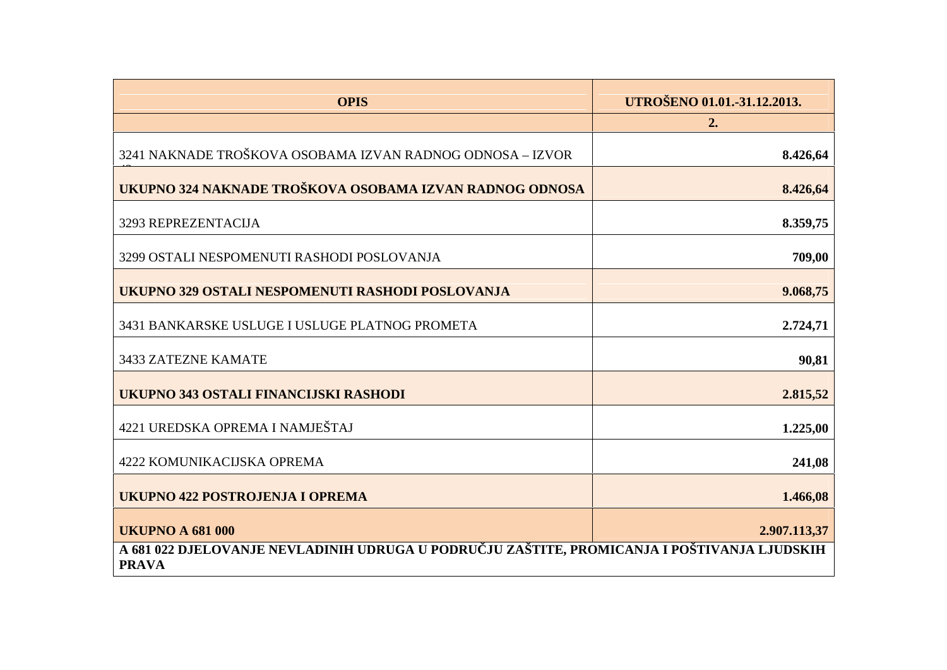| <b>OPIS</b>                                                                                                   | UTROŠENO 01.01.-31.12.2013. |
|---------------------------------------------------------------------------------------------------------------|-----------------------------|
|                                                                                                               | 2.                          |
| 3241 NAKNADE TROŠKOVA OSOBAMA IZVAN RADNOG ODNOSA - IZVOR                                                     | 8.426,64                    |
| UKUPNO 324 NAKNADE TROŠKOVA OSOBAMA IZVAN RADNOG ODNOSA                                                       | 8.426,64                    |
| 3293 REPREZENTACIJA                                                                                           | 8.359,75                    |
| 3299 OSTALI NESPOMENUTI RASHODI POSLOVANJA                                                                    | 709,00                      |
| UKUPNO 329 OSTALI NESPOMENUTI RASHODI POSLOVANJA                                                              | 9.068,75                    |
| 3431 BANKARSKE USLUGE I USLUGE PLATNOG PROMETA                                                                | 2.724,71                    |
| 3433 ZATEZNE KAMATE                                                                                           | 90,81                       |
| UKUPNO 343 OSTALI FINANCIJSKI RASHODI                                                                         | 2.815,52                    |
| 4221 UREDSKA OPREMA I NAMJEŠTAJ                                                                               | 1.225,00                    |
| <b>4222 KOMUNIKACIJSKA OPREMA</b>                                                                             | 241,08                      |
| <b>UKUPNO 422 POSTROJENJA I OPREMA</b>                                                                        | 1.466,08                    |
| <b>UKUPNO A 681 000</b>                                                                                       | 2.907.113,37                |
| A 681 022 DJELOVANJE NEVLADINIH UDRUGA U PODRU   JU ZAŠTITE, PROMICANJA I POŠTIVANJA LJUDSKIH<br><b>PRAVA</b> |                             |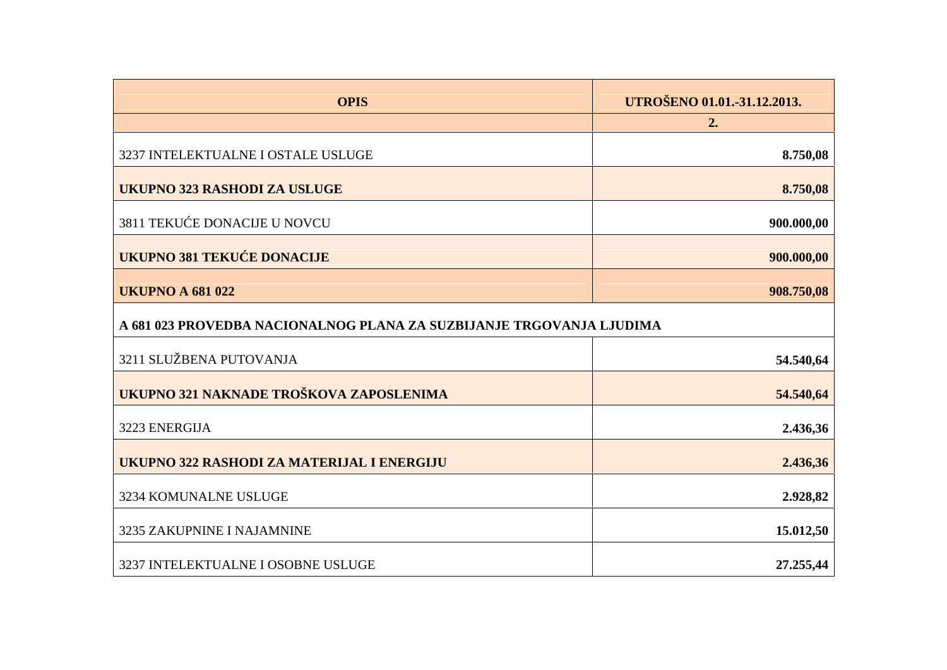| <b>OPIS</b>                                                          | UTROŠENO 01.01.-31.12.2013. |
|----------------------------------------------------------------------|-----------------------------|
|                                                                      | 2.                          |
| 3237 INTELEKTUALNE I OSTALE USLUGE                                   | 8.750,08                    |
| <b>UKUPNO 323 RASHODI ZA USLUGE</b>                                  | 8.750,08                    |
| 3811 TEKU E DONACIJE U NOVCU                                         | 900.000,00                  |
| <b>UKUPNO 381 TEKU E DONACIJE</b>                                    | 900.000,00                  |
| <b>UKUPNO A 681 022</b>                                              | 908.750,08                  |
| A 681 023 PROVEDBA NACIONALNOG PLANA ZA SUZBIJANJE TRGOVANJA LJUDIMA |                             |
| 3211 SLUŽBENA PUTOVANJA                                              | 54.540,64                   |
| UKUPNO 321 NAKNADE TROŠKOVA ZAPOSLENIMA                              | 54.540,64                   |
| 3223 ENERGIJA                                                        | 2.436,36                    |
| UKUPNO 322 RASHODI ZA MATERIJAL I ENERGIJU                           | 2.436,36                    |
| 3234 KOMUNALNE USLUGE                                                | 2.928,82                    |
| 3235 ZAKUPNINE I NAJAMNINE                                           | 15.012,50                   |
| 3237 INTELEKTUALNE I OSOBNE USLUGE                                   | 27.255,44                   |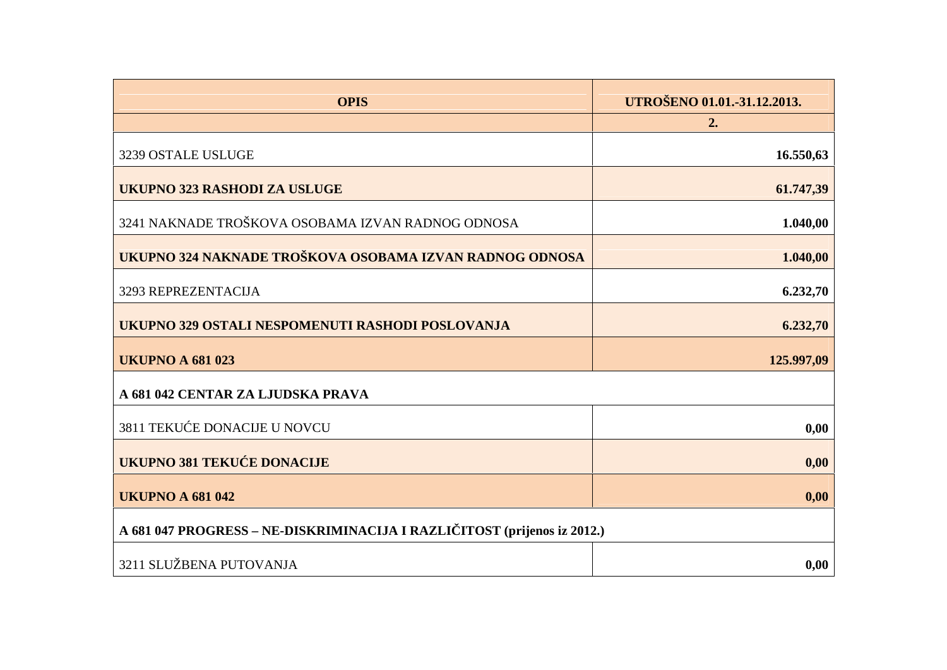| <b>OPIS</b>                                                              | UTROŠENO 01.01.-31.12.2013.<br>2. |
|--------------------------------------------------------------------------|-----------------------------------|
| 3239 OSTALE USLUGE                                                       | 16.550,63                         |
| <b>UKUPNO 323 RASHODI ZA USLUGE</b>                                      | 61.747,39                         |
| 3241 NAKNADE TROŠKOVA OSOBAMA IZVAN RADNOG ODNOSA                        | 1.040,00                          |
| UKUPNO 324 NAKNADE TROŠKOVA OSOBAMA IZVAN RADNOG ODNOSA                  | 1.040,00                          |
| 3293 REPREZENTACIJA                                                      | 6.232,70                          |
| UKUPNO 329 OSTALI NESPOMENUTI RASHODI POSLOVANJA                         | 6.232,70                          |
| <b>UKUPNO A 681 023</b>                                                  | 125.997,09                        |
| A 681 042 CENTAR ZA LJUDSKA PRAVA                                        |                                   |
| <b>3811 TEKU E DONACIJE U NOVCU</b>                                      | 0,00                              |
| <b>UKUPNO 381 TEKU E DONACIJE</b>                                        | 0,00                              |
| <b>UKUPNO A 681 042</b>                                                  | 0,00                              |
| A 681 047 PROGRESS - NE-DISKRIMINACIJA I RAZLI ITOST (prijenos iz 2012.) |                                   |
| 3211 SLUŽBENA PUTOVANJA                                                  | 0,00                              |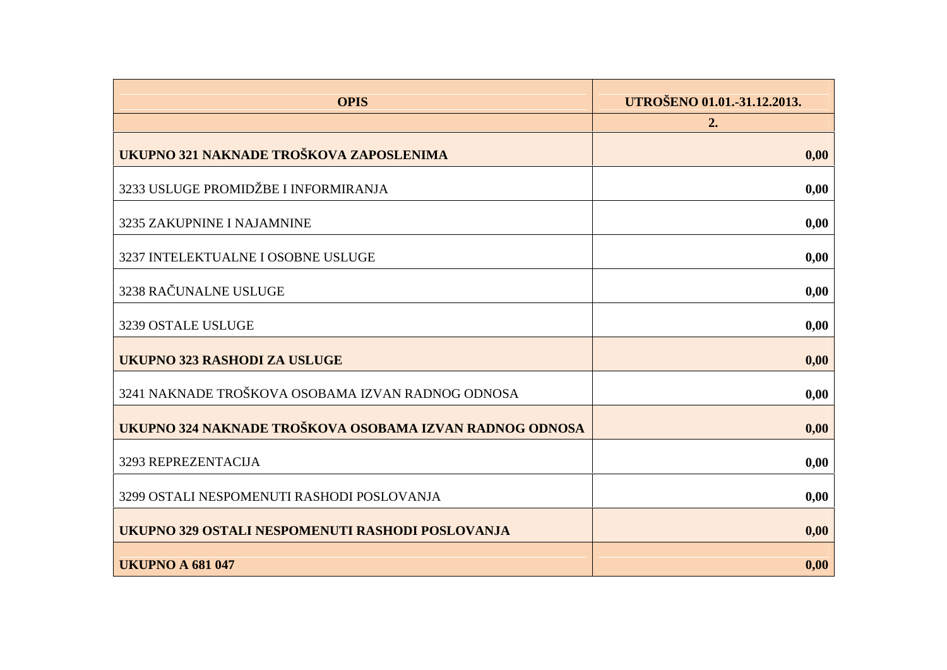| <b>OPIS</b>                                             | UTROŠENO 01.01.-31.12.2013. |
|---------------------------------------------------------|-----------------------------|
|                                                         | 2.                          |
| UKUPNO 321 NAKNADE TROŠKOVA ZAPOSLENIMA                 | 0,00                        |
| 3233 USLUGE PROMIDŽBE I INFORMIRANJA                    | 0,00                        |
| 3235 ZAKUPNINE I NAJAMNINE                              | 0,00                        |
| 3237 INTELEKTUALNE I OSOBNE USLUGE                      | 0,00                        |
| 3238 RA UNALNE USLUGE                                   | 0,00                        |
| 3239 OSTALE USLUGE                                      | 0,00                        |
| <b>UKUPNO 323 RASHODI ZA USLUGE</b>                     | 0,00                        |
| 3241 NAKNADE TROŠKOVA OSOBAMA IZVAN RADNOG ODNOSA       | 0,00                        |
| UKUPNO 324 NAKNADE TROŠKOVA OSOBAMA IZVAN RADNOG ODNOSA | 0,00                        |
| 3293 REPREZENTACIJA                                     | 0,00                        |
| 3299 OSTALI NESPOMENUTI RASHODI POSLOVANJA              | 0,00                        |
| UKUPNO 329 OSTALI NESPOMENUTI RASHODI POSLOVANJA        | 0,00                        |
| <b>UKUPNO A 681 047</b>                                 | 0,00                        |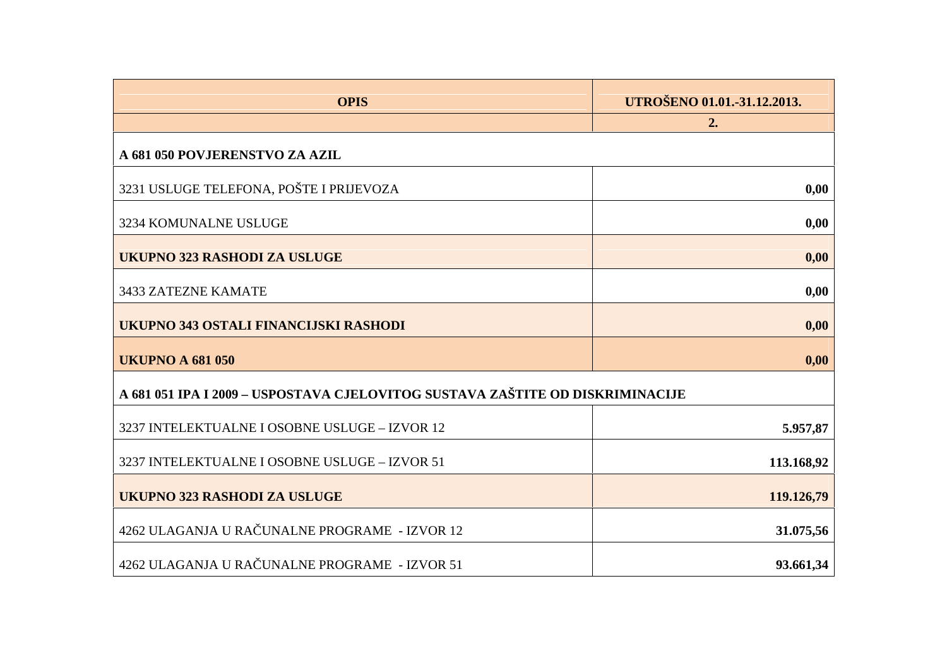| <b>OPIS</b>                                                                   | UTROŠENO 01.01.-31.12.2013. |  |
|-------------------------------------------------------------------------------|-----------------------------|--|
|                                                                               | 2.                          |  |
| A 681 050 POVJERENSTVO ZA AZIL                                                |                             |  |
| 3231 USLUGE TELEFONA, POŠTE I PRIJEVOZA                                       | 0,00                        |  |
| 3234 KOMUNALNE USLUGE                                                         | 0,00                        |  |
| <b>UKUPNO 323 RASHODI ZA USLUGE</b>                                           | 0,00                        |  |
| <b>3433 ZATEZNE KAMATE</b>                                                    | 0,00                        |  |
| UKUPNO 343 OSTALI FINANCIJSKI RASHODI                                         | 0,00                        |  |
| <b>UKUPNO A 681 050</b>                                                       | 0,00                        |  |
| A 681 051 IPA I 2009 – USPOSTAVA CJELOVITOG SUSTAVA ZAŠTITE OD DISKRIMINACIJE |                             |  |
| 3237 INTELEKTUALNE I OSOBNE USLUGE - IZVOR 12                                 | 5.957,87                    |  |
| 3237 INTELEKTUALNE I OSOBNE USLUGE - IZVOR 51                                 | 113.168,92                  |  |
| <b>UKUPNO 323 RASHODI ZA USLUGE</b>                                           | 119.126,79                  |  |
| 4262 ULAGANJA U RA UNALNE PROGRAME - IZVOR 12                                 | 31.075,56                   |  |
| 4262 ULAGANJA U RA UNALNE PROGRAME - IZVOR 51                                 | 93.661,34                   |  |